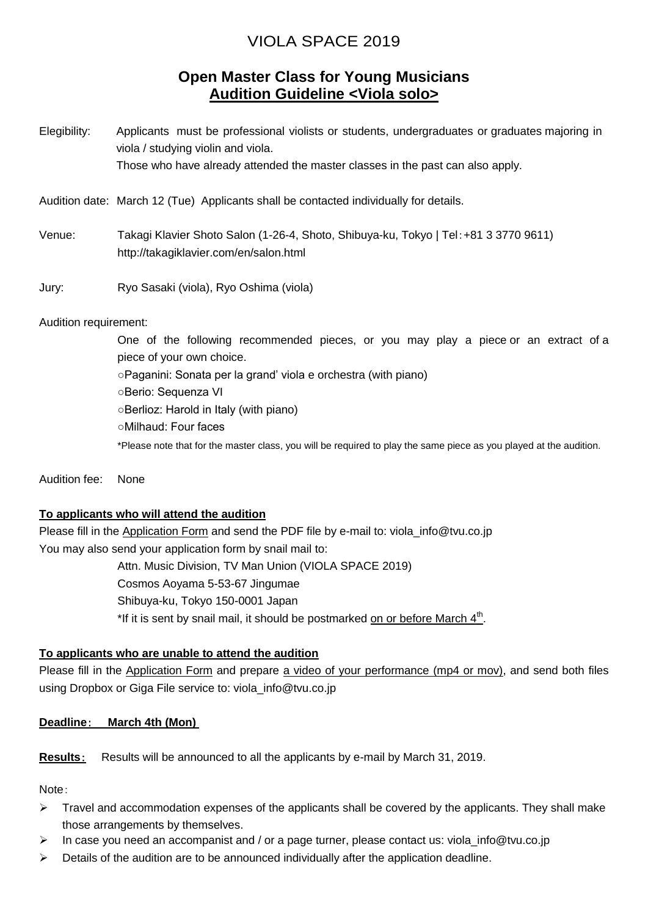# VIOLA SPACE 2019

## **Open Master Class for Young Musicians Audition Guideline <Viola solo>**

Elegibility: Applicants must be professional violists or students, undergraduates or graduates majoring in viola / studying violin and viola. Those who have already attended the master classes in the past can also apply.

Audition date: March 12 (Tue) Applicants shall be contacted individually for details.

Venue: Takagi Klavier Shoto Salon (1-26-4, Shoto, Shibuya-ku, Tokyo | Tel:+81 3 3770 9611) http://takagiklavier.com/en/salon.html

Jury: Ryo Sasaki (viola), Ryo Oshima (viola)

Audition requirement:

One of the following recommended pieces, or you may play a piece or an extract of a piece of your own choice. ○Paganini: Sonata per la grand' viola e orchestra (with piano) ○Berio: Sequenza VI ○Berlioz: Harold in Italy (with piano) ○Milhaud: Four faces \*Please note that for the master class, you will be required to play the same piece as you played at the audition.

Audition fee: None

#### **To applicants who will attend the audition**

Please fill in the Application Form and send the PDF file by e-mail to: viola\_info@tvu.co.jp You may also send your application form by snail mail to: Attn. Music Division, TV Man Union (VIOLA SPACE 2019) Cosmos Aoyama 5-53-67 Jingumae Shibuya-ku, Tokyo 150-0001 Japan \*If it is sent by snail mail, it should be postmarked on or before March 4<sup>th</sup>.

#### **To applicants who are unable to attend the audition**

Please fill in the Application Form and prepare a video of your performance (mp4 or mov), and send both files using Dropbox or Giga File service to: viola\_info@tvu.co.jp

**Deadline**: **March 4th (Mon)**

**Results**: Results will be announced to all the applicants by e-mail by March 31, 2019.

Note:

- $\triangleright$  Travel and accommodation expenses of the applicants shall be covered by the applicants. They shall make those arrangements by themselves.
- In case you need an accompanist and / or a page turner, please contact us: viola info@tvu.co.jp
- $\triangleright$  Details of the audition are to be announced individually after the application deadline.